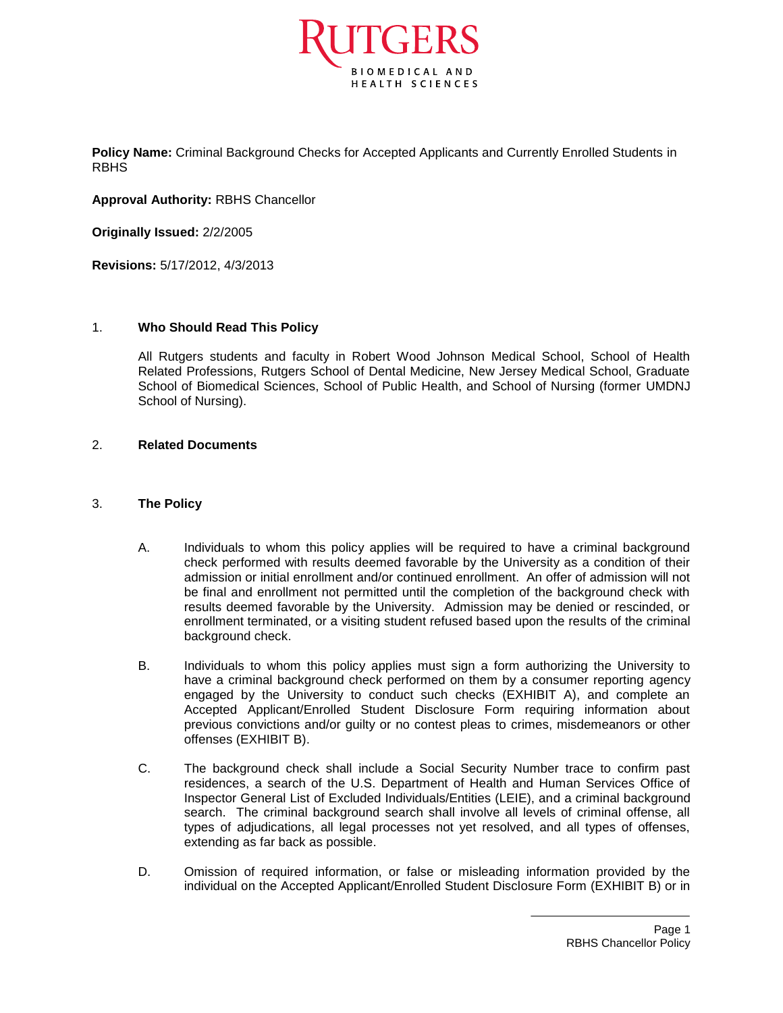

**Policy Name:** Criminal Background Checks for Accepted Applicants and Currently Enrolled Students in RBHS

**Approval Authority:** RBHS Chancellor

**Originally Issued:** 2/2/2005

**Revisions:** 5/17/2012, 4/3/2013

#### 1. **Who Should Read This Policy**

All Rutgers students and faculty in Robert Wood Johnson Medical School, School of Health Related Professions, Rutgers School of Dental Medicine, New Jersey Medical School, Graduate School of Biomedical Sciences, School of Public Health, and School of Nursing (former UMDNJ School of Nursing).

### 2. **Related Documents**

#### 3. **The Policy**

- A. Individuals to whom this policy applies will be required to have a criminal background check performed with results deemed favorable by the University as a condition of their admission or initial enrollment and/or continued enrollment. An offer of admission will not be final and enrollment not permitted until the completion of the background check with results deemed favorable by the University. Admission may be denied or rescinded, or enrollment terminated, or a visiting student refused based upon the results of the criminal background check.
- B. Individuals to whom this policy applies must sign a form authorizing the University to have a criminal background check performed on them by a consumer reporting agency engaged by the University to conduct such checks (EXHIBIT A), and complete an Accepted Applicant/Enrolled Student Disclosure Form requiring information about previous convictions and/or guilty or no contest pleas to crimes, misdemeanors or other offenses (EXHIBIT B).
- C. The background check shall include a Social Security Number trace to confirm past residences, a search of the U.S. Department of Health and Human Services Office of Inspector General List of Excluded Individuals/Entities (LEIE), and a criminal background search. The criminal background search shall involve all levels of criminal offense, all types of adjudications, all legal processes not yet resolved, and all types of offenses, extending as far back as possible.
- D. Omission of required information, or false or misleading information provided by the individual on the Accepted Applicant/Enrolled Student Disclosure Form (EXHIBIT B) or in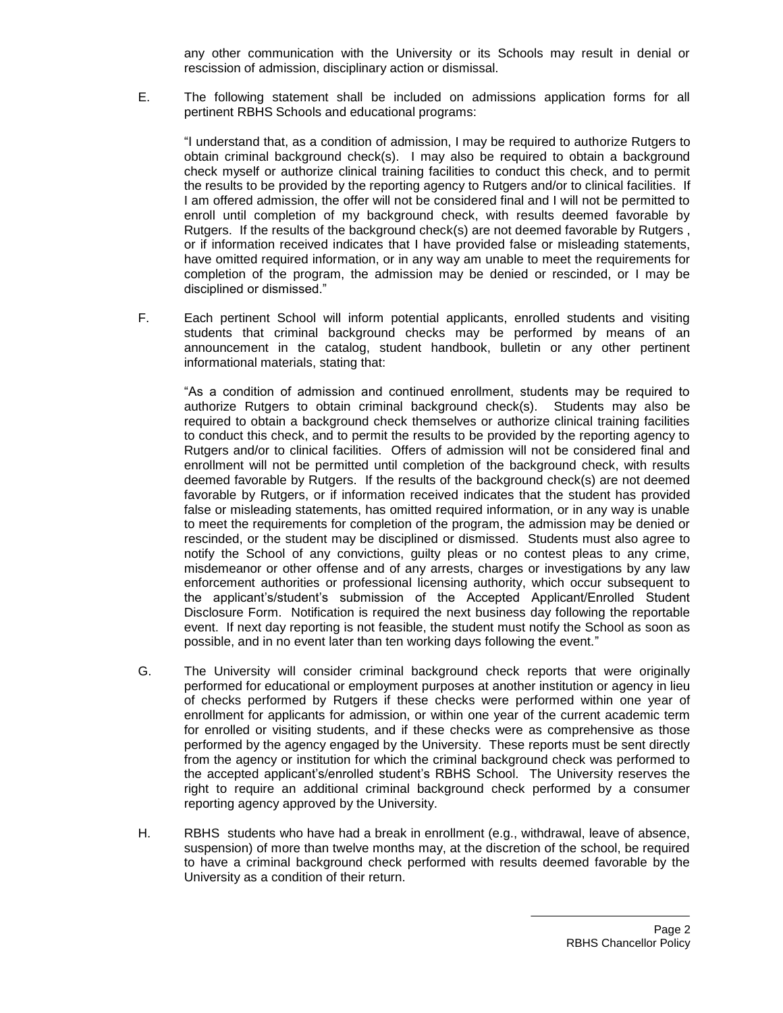any other communication with the University or its Schools may result in denial or rescission of admission, disciplinary action or dismissal.

E. The following statement shall be included on admissions application forms for all pertinent RBHS Schools and educational programs:

"I understand that, as a condition of admission, I may be required to authorize Rutgers to obtain criminal background check(s). I may also be required to obtain a background check myself or authorize clinical training facilities to conduct this check, and to permit the results to be provided by the reporting agency to Rutgers and/or to clinical facilities. If I am offered admission, the offer will not be considered final and I will not be permitted to enroll until completion of my background check, with results deemed favorable by Rutgers. If the results of the background check(s) are not deemed favorable by Rutgers , or if information received indicates that I have provided false or misleading statements, have omitted required information, or in any way am unable to meet the requirements for completion of the program, the admission may be denied or rescinded, or I may be disciplined or dismissed."

F. Each pertinent School will inform potential applicants, enrolled students and visiting students that criminal background checks may be performed by means of an announcement in the catalog, student handbook, bulletin or any other pertinent informational materials, stating that:

"As a condition of admission and continued enrollment, students may be required to authorize Rutgers to obtain criminal background check(s). Students may also be required to obtain a background check themselves or authorize clinical training facilities to conduct this check, and to permit the results to be provided by the reporting agency to Rutgers and/or to clinical facilities. Offers of admission will not be considered final and enrollment will not be permitted until completion of the background check, with results deemed favorable by Rutgers. If the results of the background check(s) are not deemed favorable by Rutgers, or if information received indicates that the student has provided false or misleading statements, has omitted required information, or in any way is unable to meet the requirements for completion of the program, the admission may be denied or rescinded, or the student may be disciplined or dismissed. Students must also agree to notify the School of any convictions, guilty pleas or no contest pleas to any crime, misdemeanor or other offense and of any arrests, charges or investigations by any law enforcement authorities or professional licensing authority, which occur subsequent to the applicant's/student's submission of the Accepted Applicant/Enrolled Student Disclosure Form. Notification is required the next business day following the reportable event. If next day reporting is not feasible, the student must notify the School as soon as possible, and in no event later than ten working days following the event."

- G. The University will consider criminal background check reports that were originally performed for educational or employment purposes at another institution or agency in lieu of checks performed by Rutgers if these checks were performed within one year of enrollment for applicants for admission, or within one year of the current academic term for enrolled or visiting students, and if these checks were as comprehensive as those performed by the agency engaged by the University. These reports must be sent directly from the agency or institution for which the criminal background check was performed to the accepted applicant's/enrolled student's RBHS School. The University reserves the right to require an additional criminal background check performed by a consumer reporting agency approved by the University.
- H. RBHS students who have had a break in enrollment (e.g., withdrawal, leave of absence, suspension) of more than twelve months may, at the discretion of the school, be required to have a criminal background check performed with results deemed favorable by the University as a condition of their return.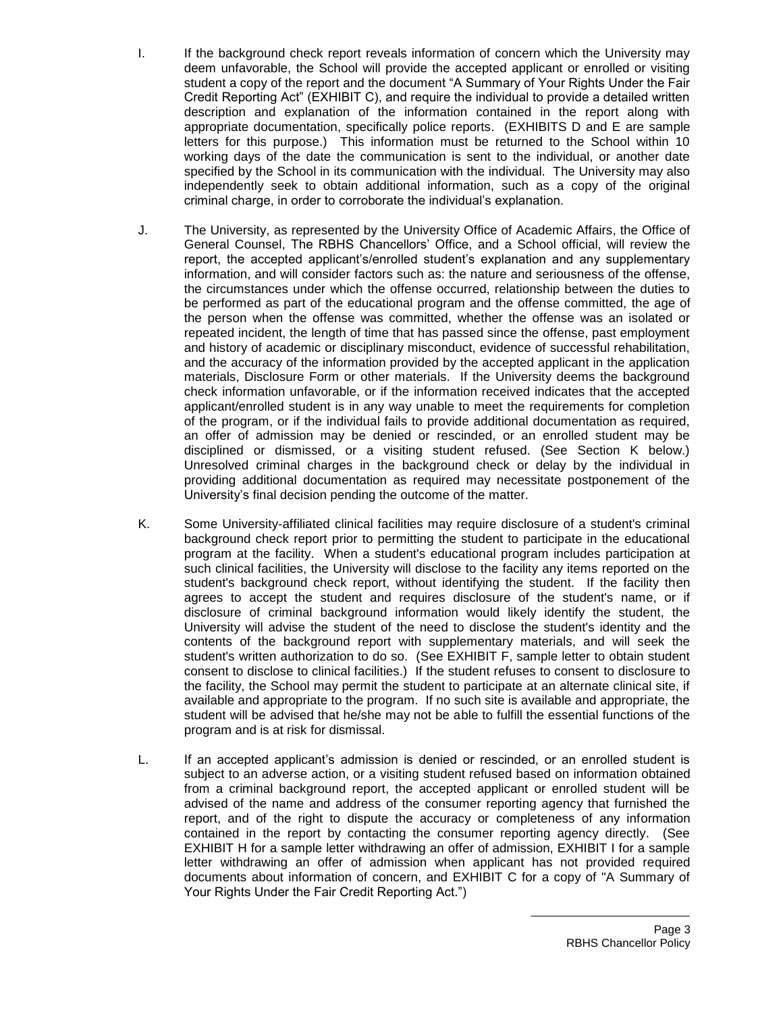- I. If the background check report reveals information of concern which the University may deem unfavorable, the School will provide the accepted applicant or enrolled or visiting student a copy of the report and the document "A Summary of Your Rights Under the Fair Credit Reporting Act" (EXHIBIT C), and require the individual to provide a detailed written description and explanation of the information contained in the report along with appropriate documentation, specifically police reports. (EXHIBITS D and E are sample letters for this purpose.) This information must be returned to the School within 10 working days of the date the communication is sent to the individual, or another date specified by the School in its communication with the individual. The University may also independently seek to obtain additional information, such as a copy of the original criminal charge, in order to corroborate the individual's explanation.
- J. The University, as represented by the University Office of Academic Affairs, the Office of General Counsel, The RBHS Chancellors' Office, and a School official, will review the report, the accepted applicant's/enrolled student's explanation and any supplementary information, and will consider factors such as: the nature and seriousness of the offense, the circumstances under which the offense occurred, relationship between the duties to be performed as part of the educational program and the offense committed, the age of the person when the offense was committed, whether the offense was an isolated or repeated incident, the length of time that has passed since the offense, past employment and history of academic or disciplinary misconduct, evidence of successful rehabilitation, and the accuracy of the information provided by the accepted applicant in the application materials, Disclosure Form or other materials. If the University deems the background check information unfavorable, or if the information received indicates that the accepted applicant/enrolled student is in any way unable to meet the requirements for completion of the program, or if the individual fails to provide additional documentation as required, an offer of admission may be denied or rescinded, or an enrolled student may be disciplined or dismissed, or a visiting student refused. (See Section K below.) Unresolved criminal charges in the background check or delay by the individual in providing additional documentation as required may necessitate postponement of the University's final decision pending the outcome of the matter.
- K. Some University-affiliated clinical facilities may require disclosure of a student's criminal background check report prior to permitting the student to participate in the educational program at the facility. When a student's educational program includes participation at such clinical facilities, the University will disclose to the facility any items reported on the student's background check report, without identifying the student. If the facility then agrees to accept the student and requires disclosure of the student's name, or if disclosure of criminal background information would likely identify the student, the University will advise the student of the need to disclose the student's identity and the contents of the background report with supplementary materials, and will seek the student's written authorization to do so. (See EXHIBIT F, sample letter to obtain student consent to disclose to clinical facilities.) If the student refuses to consent to disclosure to the facility, the School may permit the student to participate at an alternate clinical site, if available and appropriate to the program. If no such site is available and appropriate, the student will be advised that he/she may not be able to fulfill the essential functions of the program and is at risk for dismissal.
- L. If an accepted applicant's admission is denied or rescinded, or an enrolled student is subject to an adverse action, or a visiting student refused based on information obtained from a criminal background report, the accepted applicant or enrolled student will be advised of the name and address of the consumer reporting agency that furnished the report, and of the right to dispute the accuracy or completeness of any information contained in the report by contacting the consumer reporting agency directly. (See EXHIBIT H for a sample letter withdrawing an offer of admission, EXHIBIT I for a sample letter withdrawing an offer of admission when applicant has not provided required documents about information of concern, and EXHIBIT C for a copy of "A Summary of Your Rights Under the Fair Credit Reporting Act.")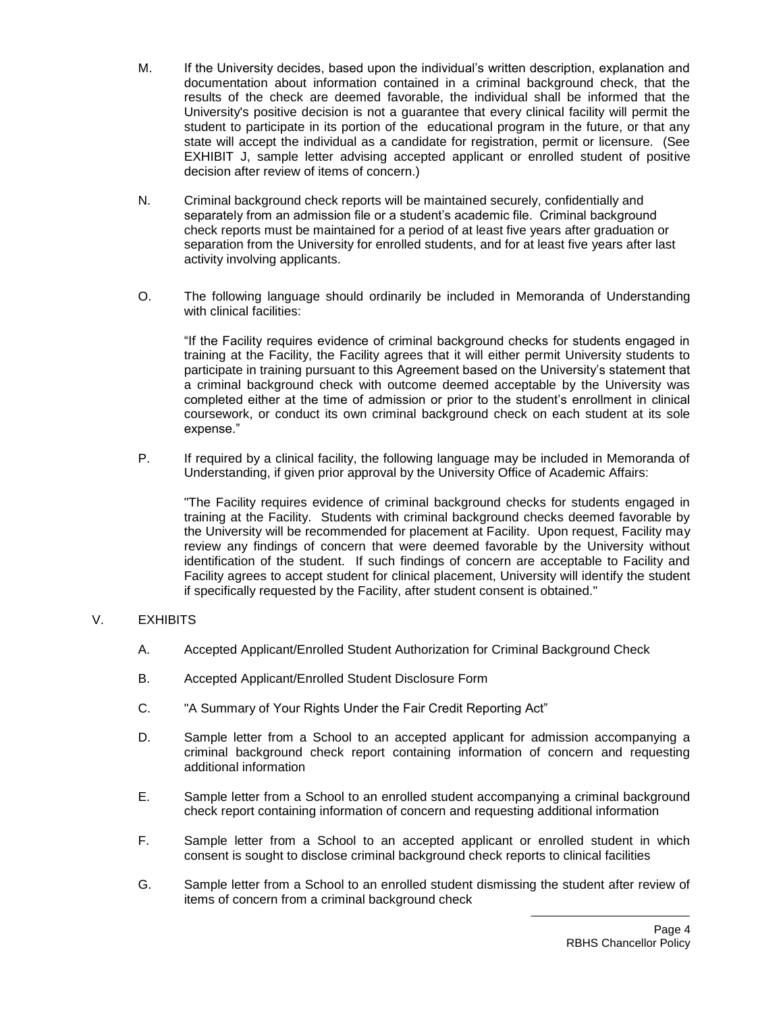- M. If the University decides, based upon the individual's written description, explanation and documentation about information contained in a criminal background check, that the results of the check are deemed favorable, the individual shall be informed that the University's positive decision is not a guarantee that every clinical facility will permit the student to participate in its portion of the educational program in the future, or that any state will accept the individual as a candidate for registration, permit or licensure. (See EXHIBIT J, sample letter advising accepted applicant or enrolled student of positive decision after review of items of concern.)
- N. Criminal background check reports will be maintained securely, confidentially and separately from an admission file or a student's academic file. Criminal background check reports must be maintained for a period of at least five years after graduation or separation from the University for enrolled students, and for at least five years after last activity involving applicants.
- O. The following language should ordinarily be included in Memoranda of Understanding with clinical facilities:

"If the Facility requires evidence of criminal background checks for students engaged in training at the Facility, the Facility agrees that it will either permit University students to participate in training pursuant to this Agreement based on the University's statement that a criminal background check with outcome deemed acceptable by the University was completed either at the time of admission or prior to the student's enrollment in clinical coursework, or conduct its own criminal background check on each student at its sole expense."

P. If required by a clinical facility, the following language may be included in Memoranda of Understanding, if given prior approval by the University Office of Academic Affairs:

"The Facility requires evidence of criminal background checks for students engaged in training at the Facility. Students with criminal background checks deemed favorable by the University will be recommended for placement at Facility. Upon request, Facility may review any findings of concern that were deemed favorable by the University without identification of the student. If such findings of concern are acceptable to Facility and Facility agrees to accept student for clinical placement, University will identify the student if specifically requested by the Facility, after student consent is obtained."

# V. EXHIBITS

- A. Accepted Applicant/Enrolled Student Authorization for Criminal Background Check
- B. Accepted Applicant/Enrolled Student Disclosure Form
- C. "A Summary of Your Rights Under the Fair Credit Reporting Act"
- D. Sample letter from a School to an accepted applicant for admission accompanying a criminal background check report containing information of concern and requesting additional information
- E. Sample letter from a School to an enrolled student accompanying a criminal background check report containing information of concern and requesting additional information
- F. Sample letter from a School to an accepted applicant or enrolled student in which consent is sought to disclose criminal background check reports to clinical facilities
- G. Sample letter from a School to an enrolled student dismissing the student after review of items of concern from a criminal background check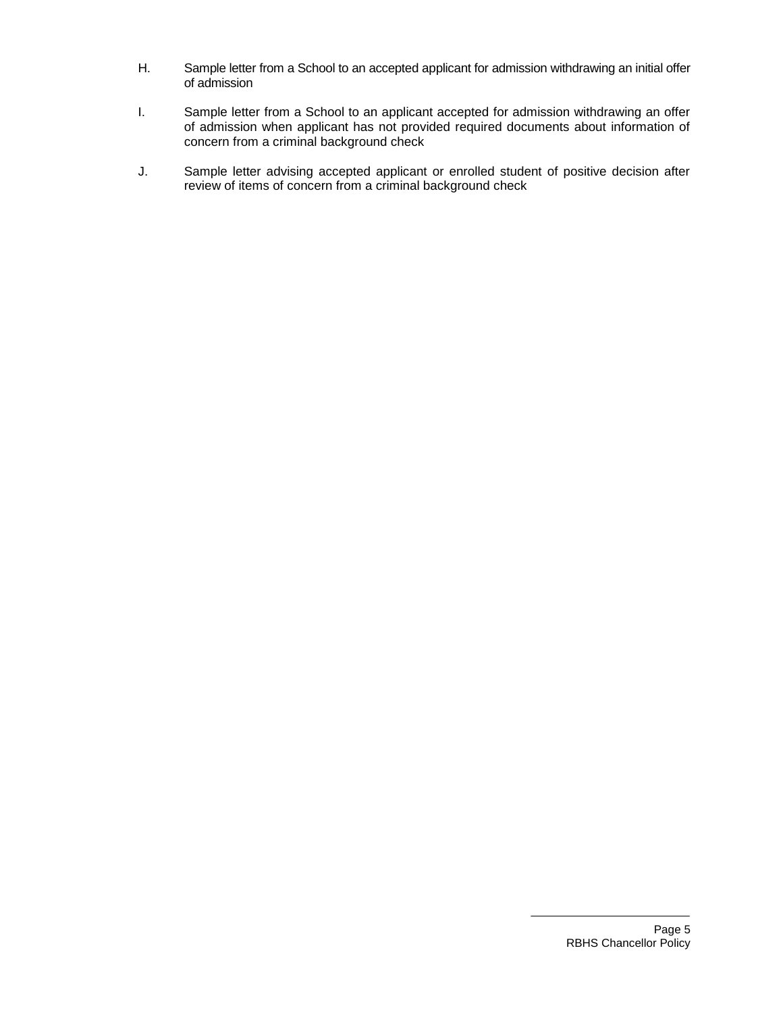- H. Sample letter from a School to an accepted applicant for admission withdrawing an initial offer of admission
- I. Sample letter from a School to an applicant accepted for admission withdrawing an offer of admission when applicant has not provided required documents about information of concern from a criminal background check
- J. Sample letter advising accepted applicant or enrolled student of positive decision after review of items of concern from a criminal background check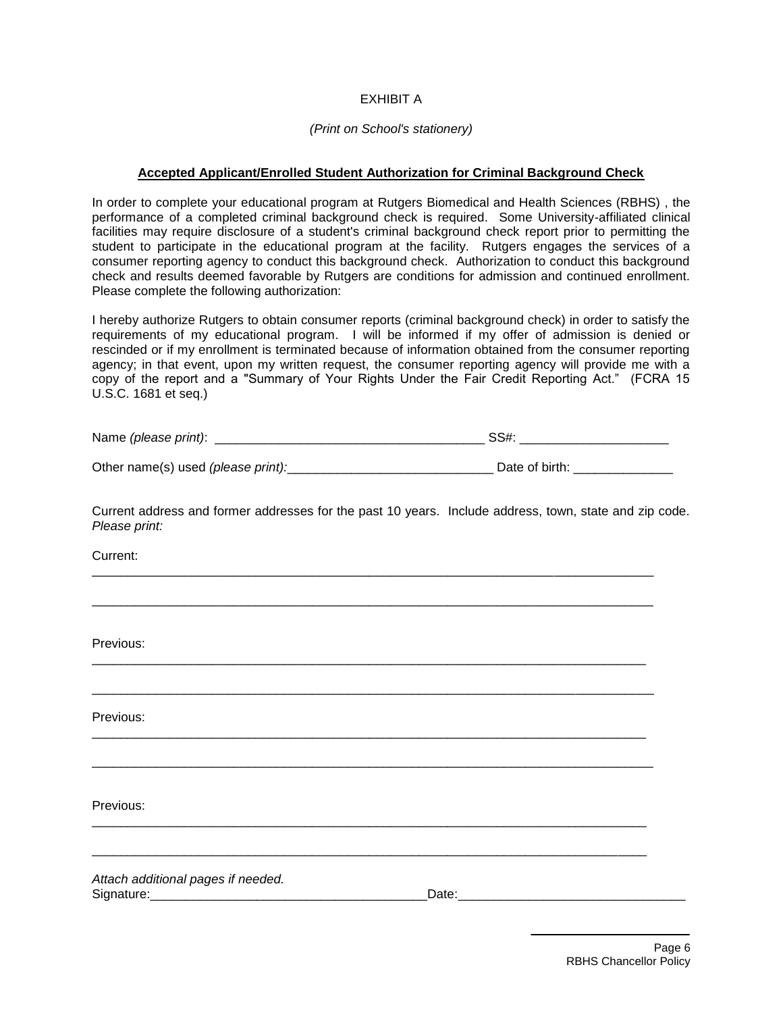### EXHIBIT A

#### *(Print on School's stationery)*

#### **Accepted Applicant/Enrolled Student Authorization for Criminal Background Check**

In order to complete your educational program at Rutgers Biomedical and Health Sciences (RBHS) , the performance of a completed criminal background check is required. Some University-affiliated clinical facilities may require disclosure of a student's criminal background check report prior to permitting the student to participate in the educational program at the facility. Rutgers engages the services of a consumer reporting agency to conduct this background check. Authorization to conduct this background check and results deemed favorable by Rutgers are conditions for admission and continued enrollment. Please complete the following authorization:

I hereby authorize Rutgers to obtain consumer reports (criminal background check) in order to satisfy the requirements of my educational program. I will be informed if my offer of admission is denied or rescinded or if my enrollment is terminated because of information obtained from the consumer reporting agency; in that event, upon my written request, the consumer reporting agency will provide me with a copy of the report and a "Summary of Your Rights Under the Fair Credit Reporting Act." (FCRA 15 U.S.C. 1681 et seq.)

| Na<br><br><br>--- |  |
|-------------------|--|
| .,                |  |

Other name(s) used *(please print):*\_\_\_\_\_\_\_\_\_\_\_\_\_\_\_\_\_\_\_\_\_\_\_\_\_\_\_\_\_ Date of birth: \_\_\_\_\_\_\_\_\_\_\_\_\_\_

Current address and former addresses for the past 10 years. Include address, town, state and zip code. *Please print:*

\_\_\_\_\_\_\_\_\_\_\_\_\_\_\_\_\_\_\_\_\_\_\_\_\_\_\_\_\_\_\_\_\_\_\_\_\_\_\_\_\_\_\_\_\_\_\_\_\_\_\_\_\_\_\_\_\_\_\_\_\_\_\_\_\_\_\_\_\_\_\_\_\_\_\_\_\_\_\_

\_\_\_\_\_\_\_\_\_\_\_\_\_\_\_\_\_\_\_\_\_\_\_\_\_\_\_\_\_\_\_\_\_\_\_\_\_\_\_\_\_\_\_\_\_\_\_\_\_\_\_\_\_\_\_\_\_\_\_\_\_\_\_\_\_\_\_\_\_\_\_\_\_\_\_\_\_\_\_

\_\_\_\_\_\_\_\_\_\_\_\_\_\_\_\_\_\_\_\_\_\_\_\_\_\_\_\_\_\_\_\_\_\_\_\_\_\_\_\_\_\_\_\_\_\_\_\_\_\_\_\_\_\_\_\_\_\_\_\_\_\_\_\_\_\_\_\_\_\_\_\_\_\_\_\_\_\_

\_\_\_\_\_\_\_\_\_\_\_\_\_\_\_\_\_\_\_\_\_\_\_\_\_\_\_\_\_\_\_\_\_\_\_\_\_\_\_\_\_\_\_\_\_\_\_\_\_\_\_\_\_\_\_\_\_\_\_\_\_\_\_\_\_\_\_\_\_\_\_\_\_\_\_\_\_\_\_

\_\_\_\_\_\_\_\_\_\_\_\_\_\_\_\_\_\_\_\_\_\_\_\_\_\_\_\_\_\_\_\_\_\_\_\_\_\_\_\_\_\_\_\_\_\_\_\_\_\_\_\_\_\_\_\_\_\_\_\_\_\_\_\_\_\_\_\_\_\_\_\_\_\_\_\_\_\_

\_\_\_\_\_\_\_\_\_\_\_\_\_\_\_\_\_\_\_\_\_\_\_\_\_\_\_\_\_\_\_\_\_\_\_\_\_\_\_\_\_\_\_\_\_\_\_\_\_\_\_\_\_\_\_\_\_\_\_\_\_\_\_\_\_\_\_\_\_\_\_\_\_\_\_\_\_\_\_

\_\_\_\_\_\_\_\_\_\_\_\_\_\_\_\_\_\_\_\_\_\_\_\_\_\_\_\_\_\_\_\_\_\_\_\_\_\_\_\_\_\_\_\_\_\_\_\_\_\_\_\_\_\_\_\_\_\_\_\_\_\_\_\_\_\_\_\_\_\_\_\_\_\_\_\_\_\_

\_\_\_\_\_\_\_\_\_\_\_\_\_\_\_\_\_\_\_\_\_\_\_\_\_\_\_\_\_\_\_\_\_\_\_\_\_\_\_\_\_\_\_\_\_\_\_\_\_\_\_\_\_\_\_\_\_\_\_\_\_\_\_\_\_\_\_\_\_\_\_\_\_\_\_\_\_\_

Current:

Previous:

Previous:

Previous:

*Attach additional pages if needed.*  $Signature:$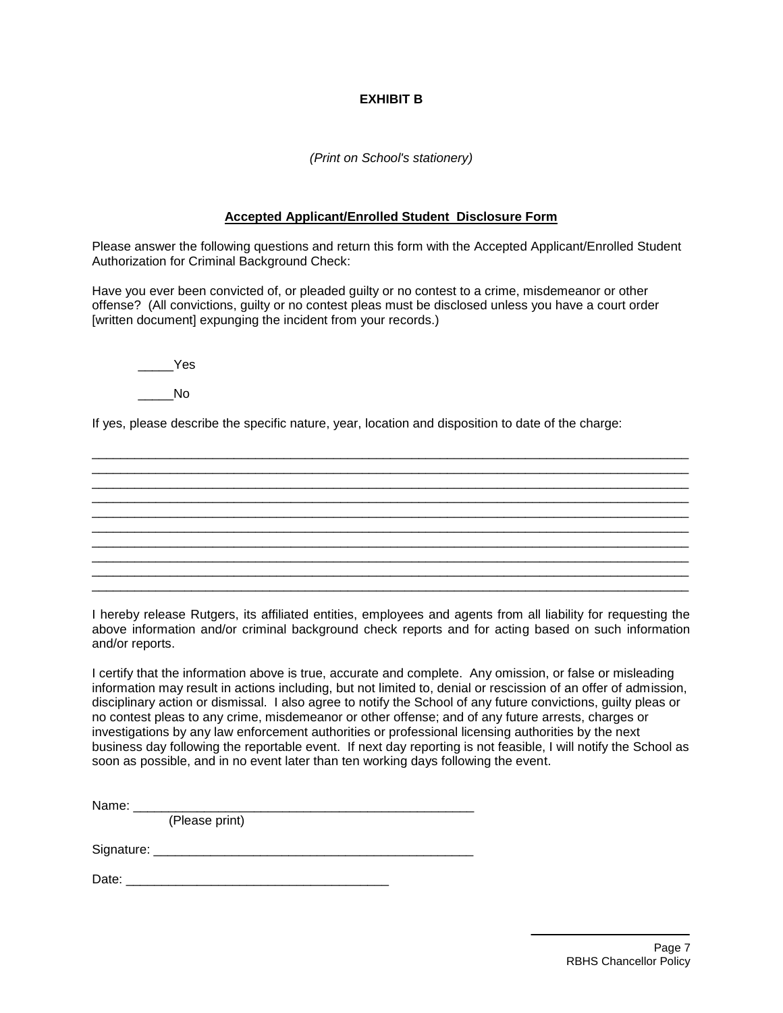# **EXHIBIT B**

*(Print on School's stationery)*

# **Accepted Applicant/Enrolled Student Disclosure Form**

Please answer the following questions and return this form with the Accepted Applicant/Enrolled Student Authorization for Criminal Background Check:

Have you ever been convicted of, or pleaded guilty or no contest to a crime, misdemeanor or other offense? (All convictions, guilty or no contest pleas must be disclosed unless you have a court order [written document] expunging the incident from your records.)

\_\_\_\_\_Yes

 $\blacksquare$  No

If yes, please describe the specific nature, year, location and disposition to date of the charge:

I hereby release Rutgers, its affiliated entities, employees and agents from all liability for requesting the above information and/or criminal background check reports and for acting based on such information and/or reports.

\_\_\_\_\_\_\_\_\_\_\_\_\_\_\_\_\_\_\_\_\_\_\_\_\_\_\_\_\_\_\_\_\_\_\_\_\_\_\_\_\_\_\_\_\_\_\_\_\_\_\_\_\_\_\_\_\_\_\_\_\_\_\_\_\_\_\_\_\_\_\_\_\_\_\_\_\_\_\_\_\_\_\_\_ \_\_\_\_\_\_\_\_\_\_\_\_\_\_\_\_\_\_\_\_\_\_\_\_\_\_\_\_\_\_\_\_\_\_\_\_\_\_\_\_\_\_\_\_\_\_\_\_\_\_\_\_\_\_\_\_\_\_\_\_\_\_\_\_\_\_\_\_\_\_\_\_\_\_\_\_\_\_\_\_\_\_\_\_ \_\_\_\_\_\_\_\_\_\_\_\_\_\_\_\_\_\_\_\_\_\_\_\_\_\_\_\_\_\_\_\_\_\_\_\_\_\_\_\_\_\_\_\_\_\_\_\_\_\_\_\_\_\_\_\_\_\_\_\_\_\_\_\_\_\_\_\_\_\_\_\_\_\_\_\_\_\_\_\_\_\_\_\_ \_\_\_\_\_\_\_\_\_\_\_\_\_\_\_\_\_\_\_\_\_\_\_\_\_\_\_\_\_\_\_\_\_\_\_\_\_\_\_\_\_\_\_\_\_\_\_\_\_\_\_\_\_\_\_\_\_\_\_\_\_\_\_\_\_\_\_\_\_\_\_\_\_\_\_\_\_\_\_\_\_\_\_\_ \_\_\_\_\_\_\_\_\_\_\_\_\_\_\_\_\_\_\_\_\_\_\_\_\_\_\_\_\_\_\_\_\_\_\_\_\_\_\_\_\_\_\_\_\_\_\_\_\_\_\_\_\_\_\_\_\_\_\_\_\_\_\_\_\_\_\_\_\_\_\_\_\_\_\_\_\_\_\_\_\_\_\_\_ \_\_\_\_\_\_\_\_\_\_\_\_\_\_\_\_\_\_\_\_\_\_\_\_\_\_\_\_\_\_\_\_\_\_\_\_\_\_\_\_\_\_\_\_\_\_\_\_\_\_\_\_\_\_\_\_\_\_\_\_\_\_\_\_\_\_\_\_\_\_\_\_\_\_\_\_\_\_\_\_\_\_\_\_ \_\_\_\_\_\_\_\_\_\_\_\_\_\_\_\_\_\_\_\_\_\_\_\_\_\_\_\_\_\_\_\_\_\_\_\_\_\_\_\_\_\_\_\_\_\_\_\_\_\_\_\_\_\_\_\_\_\_\_\_\_\_\_\_\_\_\_\_\_\_\_\_\_\_\_\_\_\_\_\_\_\_\_\_ \_\_\_\_\_\_\_\_\_\_\_\_\_\_\_\_\_\_\_\_\_\_\_\_\_\_\_\_\_\_\_\_\_\_\_\_\_\_\_\_\_\_\_\_\_\_\_\_\_\_\_\_\_\_\_\_\_\_\_\_\_\_\_\_\_\_\_\_\_\_\_\_\_\_\_\_\_\_\_\_\_\_\_\_ \_\_\_\_\_\_\_\_\_\_\_\_\_\_\_\_\_\_\_\_\_\_\_\_\_\_\_\_\_\_\_\_\_\_\_\_\_\_\_\_\_\_\_\_\_\_\_\_\_\_\_\_\_\_\_\_\_\_\_\_\_\_\_\_\_\_\_\_\_\_\_\_\_\_\_\_\_\_\_\_\_\_\_\_ \_\_\_\_\_\_\_\_\_\_\_\_\_\_\_\_\_\_\_\_\_\_\_\_\_\_\_\_\_\_\_\_\_\_\_\_\_\_\_\_\_\_\_\_\_\_\_\_\_\_\_\_\_\_\_\_\_\_\_\_\_\_\_\_\_\_\_\_\_\_\_\_\_\_\_\_\_\_\_\_\_\_\_\_

I certify that the information above is true, accurate and complete. Any omission, or false or misleading information may result in actions including, but not limited to, denial or rescission of an offer of admission, disciplinary action or dismissal. I also agree to notify the School of any future convictions, guilty pleas or no contest pleas to any crime, misdemeanor or other offense; and of any future arrests, charges or investigations by any law enforcement authorities or professional licensing authorities by the next business day following the reportable event. If next day reporting is not feasible, I will notify the School as soon as possible, and in no event later than ten working days following the event.

Name: \_\_\_\_\_\_\_\_\_\_\_\_\_\_\_\_\_\_\_\_\_\_\_\_\_\_\_\_\_\_\_\_\_\_\_\_\_\_\_\_\_\_\_\_\_\_\_\_

(Please print)

Signature: \_\_\_\_\_\_\_\_\_\_\_\_\_\_\_\_\_\_\_\_\_\_\_\_\_\_\_\_\_\_\_\_\_\_\_\_\_\_\_\_\_\_\_\_\_

Date: \_\_\_\_\_\_\_\_\_\_\_\_\_\_\_\_\_\_\_\_\_\_\_\_\_\_\_\_\_\_\_\_\_\_\_\_\_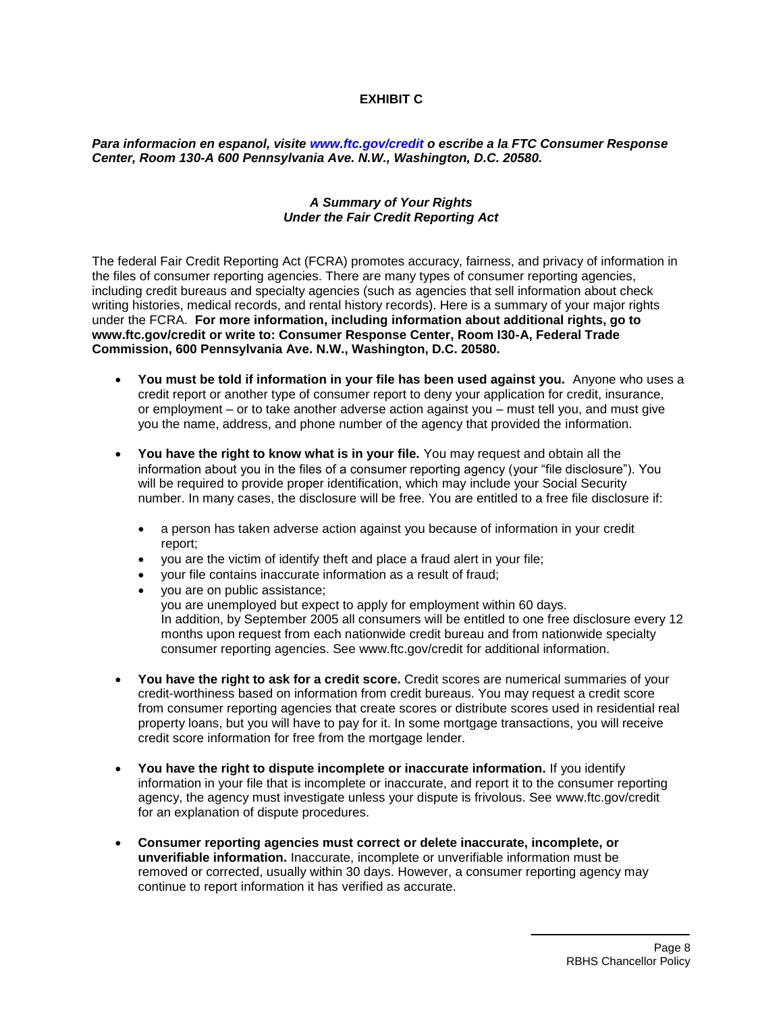# **EXHIBIT C**

*Para informacion en espanol, visite www.ftc.gov/credit o escribe a la FTC Consumer Response Center, Room 130-A 600 Pennsylvania Ave. N.W., Washington, D.C. 20580.*

#### *A Summary of Your Rights Under the Fair Credit Reporting Act*

The federal Fair Credit Reporting Act (FCRA) promotes accuracy, fairness, and privacy of information in the files of consumer reporting agencies. There are many types of consumer reporting agencies, including credit bureaus and specialty agencies (such as agencies that sell information about check writing histories, medical records, and rental history records). Here is a summary of your major rights under the FCRA. **For more information, including information about additional rights, go to www.ftc.gov/credit or write to: Consumer Response Center, Room I30-A, Federal Trade Commission, 600 Pennsylvania Ave. N.W., Washington, D.C. 20580.**

- **You must be told if information in your file has been used against you.** Anyone who uses a credit report or another type of consumer report to deny your application for credit, insurance, or employment – or to take another adverse action against you – must tell you, and must give you the name, address, and phone number of the agency that provided the information.
- **You have the right to know what is in your file.** You may request and obtain all the information about you in the files of a consumer reporting agency (your "file disclosure"). You will be required to provide proper identification, which may include your Social Security number. In many cases, the disclosure will be free. You are entitled to a free file disclosure if:
	- a person has taken adverse action against you because of information in your credit report;
	- you are the victim of identify theft and place a fraud alert in your file;
	- your file contains inaccurate information as a result of fraud;
	- you are on public assistance; you are unemployed but expect to apply for employment within 60 days. In addition, by September 2005 all consumers will be entitled to one free disclosure every 12 months upon request from each nationwide credit bureau and from nationwide specialty consumer reporting agencies. See www.ftc.gov/credit for additional information.
- **You have the right to ask for a credit score.** Credit scores are numerical summaries of your credit-worthiness based on information from credit bureaus. You may request a credit score from consumer reporting agencies that create scores or distribute scores used in residential real property loans, but you will have to pay for it. In some mortgage transactions, you will receive credit score information for free from the mortgage lender.
- **You have the right to dispute incomplete or inaccurate information.** If you identify information in your file that is incomplete or inaccurate, and report it to the consumer reporting agency, the agency must investigate unless your dispute is frivolous. See www.ftc.gov/credit for an explanation of dispute procedures.
- **Consumer reporting agencies must correct or delete inaccurate, incomplete, or unverifiable information.** Inaccurate, incomplete or unverifiable information must be removed or corrected, usually within 30 days. However, a consumer reporting agency may continue to report information it has verified as accurate.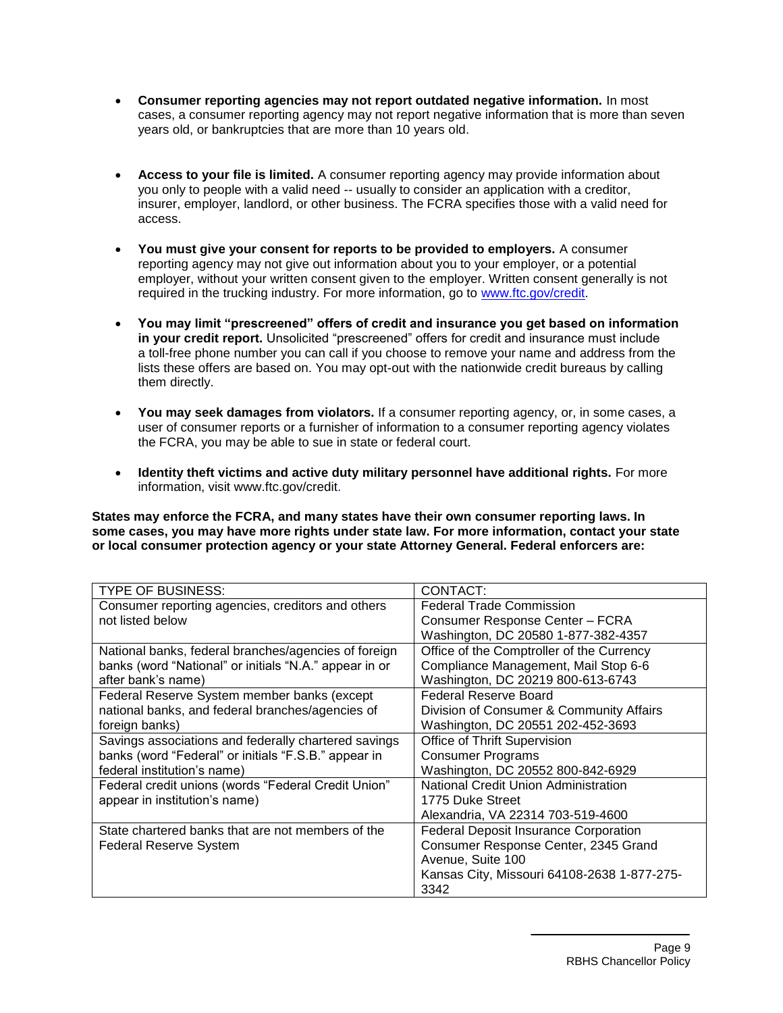- **Consumer reporting agencies may not report outdated negative information.** In most cases, a consumer reporting agency may not report negative information that is more than seven years old, or bankruptcies that are more than 10 years old.
- **Access to your file is limited.** A consumer reporting agency may provide information about you only to people with a valid need -- usually to consider an application with a creditor, insurer, employer, landlord, or other business. The FCRA specifies those with a valid need for access.
- **You must give your consent for reports to be provided to employers.** A consumer reporting agency may not give out information about you to your employer, or a potential employer, without your written consent given to the employer. Written consent generally is not required in the trucking industry. For more information, go to [www.ftc.gov/credit.](http://www.ftc.gov/credit)
- **You may limit "prescreened" offers of credit and insurance you get based on information in your credit report.** Unsolicited "prescreened" offers for credit and insurance must include a toll-free phone number you can call if you choose to remove your name and address from the lists these offers are based on. You may opt-out with the nationwide credit bureaus by calling them directly.
- **You may seek damages from violators.** If a consumer reporting agency, or, in some cases, a user of consumer reports or a furnisher of information to a consumer reporting agency violates the FCRA, you may be able to sue in state or federal court.
- **Identity theft victims and active duty military personnel have additional rights.** For more information, visit www.ftc.gov/credit.

**States may enforce the FCRA, and many states have their own consumer reporting laws. In some cases, you may have more rights under state law. For more information, contact your state or local consumer protection agency or your state Attorney General. Federal enforcers are:**

| <b>TYPE OF BUSINESS:</b>                               | CONTACT:                                     |  |
|--------------------------------------------------------|----------------------------------------------|--|
| Consumer reporting agencies, creditors and others      | <b>Federal Trade Commission</b>              |  |
| not listed below                                       | Consumer Response Center - FCRA              |  |
|                                                        | Washington, DC 20580 1-877-382-4357          |  |
| National banks, federal branches/agencies of foreign   | Office of the Comptroller of the Currency    |  |
| banks (word "National" or initials "N.A." appear in or | Compliance Management, Mail Stop 6-6         |  |
| after bank's name)                                     | Washington, DC 20219 800-613-6743            |  |
| Federal Reserve System member banks (except            | Federal Reserve Board                        |  |
| national banks, and federal branches/agencies of       | Division of Consumer & Community Affairs     |  |
| foreign banks)                                         | Washington, DC 20551 202-452-3693            |  |
| Savings associations and federally chartered savings   | Office of Thrift Supervision                 |  |
| banks (word "Federal" or initials "F.S.B." appear in   | <b>Consumer Programs</b>                     |  |
| federal institution's name)                            | Washington, DC 20552 800-842-6929            |  |
| Federal credit unions (words "Federal Credit Union"    | National Credit Union Administration         |  |
| appear in institution's name)                          | 1775 Duke Street                             |  |
|                                                        | Alexandria, VA 22314 703-519-4600            |  |
| State chartered banks that are not members of the      | <b>Federal Deposit Insurance Corporation</b> |  |
| <b>Federal Reserve System</b>                          | Consumer Response Center, 2345 Grand         |  |
|                                                        | Avenue, Suite 100                            |  |
|                                                        | Kansas City, Missouri 64108-2638 1-877-275-  |  |
|                                                        | 3342                                         |  |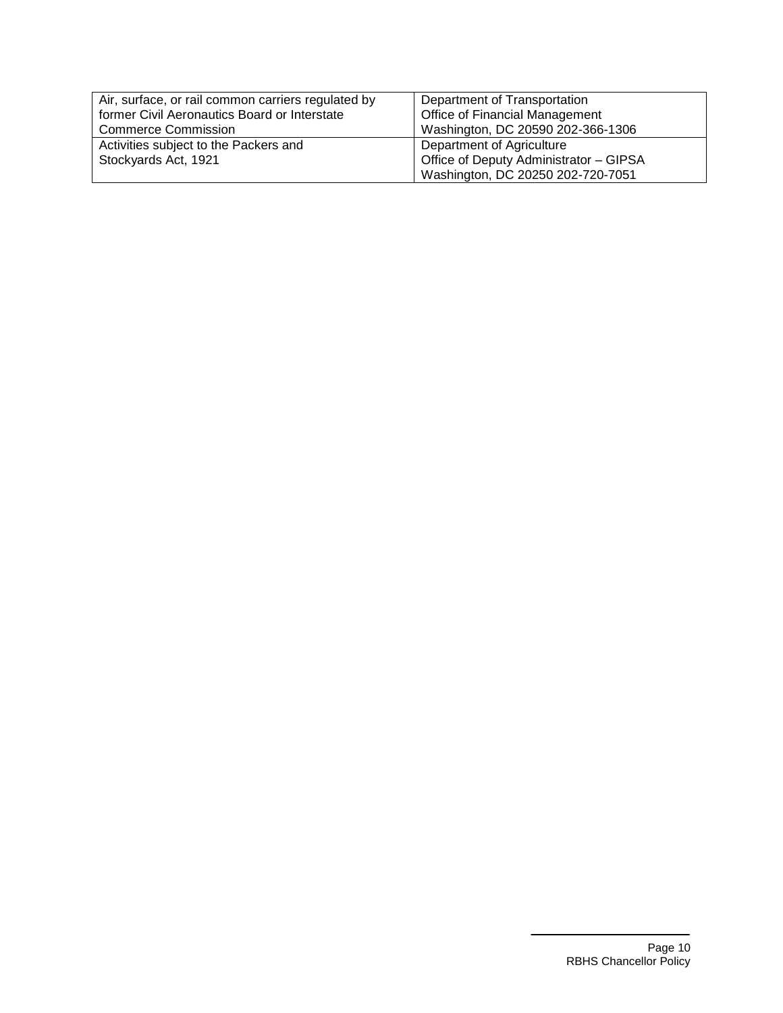| Air, surface, or rail common carriers regulated by | Department of Transportation           |
|----------------------------------------------------|----------------------------------------|
| former Civil Aeronautics Board or Interstate       | <b>Office of Financial Management</b>  |
| <b>Commerce Commission</b>                         | Washington, DC 20590 202-366-1306      |
| Activities subject to the Packers and              | Department of Agriculture              |
| Stockyards Act, 1921                               | Office of Deputy Administrator - GIPSA |
|                                                    | Washington, DC 20250 202-720-7051      |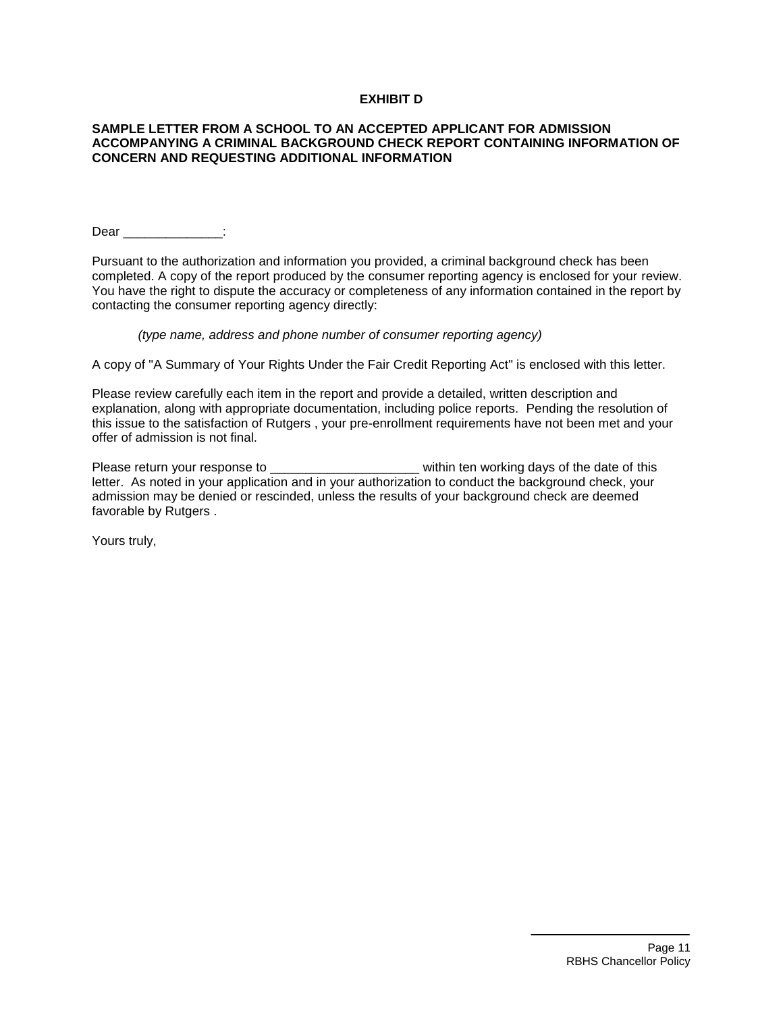# **EXHIBIT D**

#### **SAMPLE LETTER FROM A SCHOOL TO AN ACCEPTED APPLICANT FOR ADMISSION ACCOMPANYING A CRIMINAL BACKGROUND CHECK REPORT CONTAINING INFORMATION OF CONCERN AND REQUESTING ADDITIONAL INFORMATION**

Dear :

Pursuant to the authorization and information you provided, a criminal background check has been completed. A copy of the report produced by the consumer reporting agency is enclosed for your review. You have the right to dispute the accuracy or completeness of any information contained in the report by contacting the consumer reporting agency directly:

*(type name, address and phone number of consumer reporting agency)*

A copy of "A Summary of Your Rights Under the Fair Credit Reporting Act" is enclosed with this letter.

Please review carefully each item in the report and provide a detailed, written description and explanation, along with appropriate documentation, including police reports. Pending the resolution of this issue to the satisfaction of Rutgers , your pre-enrollment requirements have not been met and your offer of admission is not final.

Please return your response to \_\_\_\_\_\_\_\_\_\_\_\_\_\_\_\_\_\_\_\_\_\_\_\_ within ten working days of the date of this letter. As noted in your application and in your authorization to conduct the background check, your admission may be denied or rescinded, unless the results of your background check are deemed favorable by Rutgers .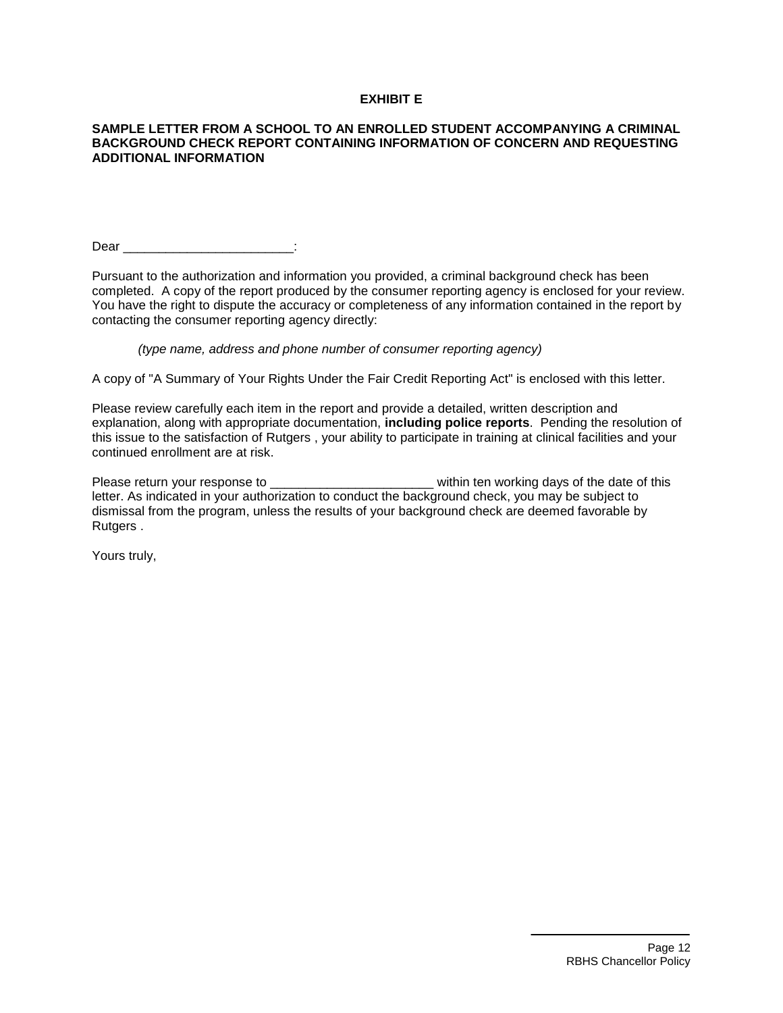## **EXHIBIT E**

#### **SAMPLE LETTER FROM A SCHOOL TO AN ENROLLED STUDENT ACCOMPANYING A CRIMINAL BACKGROUND CHECK REPORT CONTAINING INFORMATION OF CONCERN AND REQUESTING ADDITIONAL INFORMATION**

Dear \_\_\_\_\_\_\_\_\_\_\_\_\_\_\_\_\_\_\_\_\_\_\_\_\_\_\_\_\_\_\_\_:

Pursuant to the authorization and information you provided, a criminal background check has been completed. A copy of the report produced by the consumer reporting agency is enclosed for your review. You have the right to dispute the accuracy or completeness of any information contained in the report by contacting the consumer reporting agency directly:

*(type name, address and phone number of consumer reporting agency)*

A copy of "A Summary of Your Rights Under the Fair Credit Reporting Act" is enclosed with this letter.

Please review carefully each item in the report and provide a detailed, written description and explanation, along with appropriate documentation, **including police reports**. Pending the resolution of this issue to the satisfaction of Rutgers , your ability to participate in training at clinical facilities and your continued enrollment are at risk.

Please return your response to \_\_\_\_\_\_\_\_\_\_\_\_\_\_\_\_\_\_\_\_\_\_\_\_\_\_\_\_\_\_\_ within ten working days of the date of this letter. As indicated in your authorization to conduct the background check, you may be subject to dismissal from the program, unless the results of your background check are deemed favorable by Rutgers .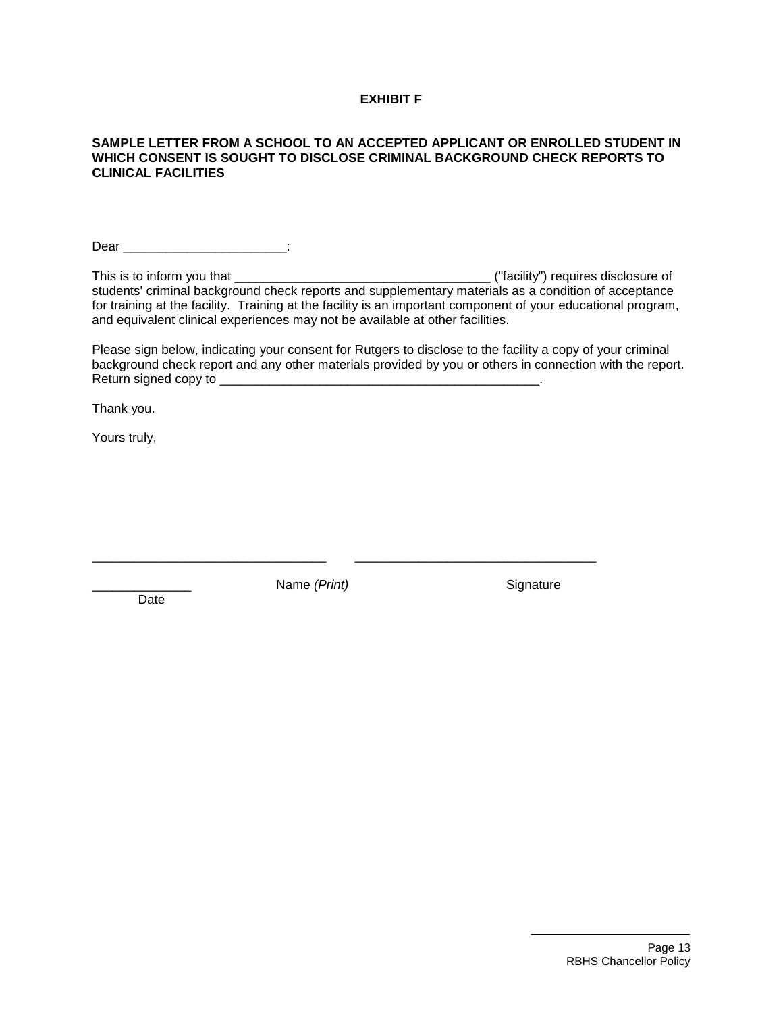# **EXHIBIT F**

### **SAMPLE LETTER FROM A SCHOOL TO AN ACCEPTED APPLICANT OR ENROLLED STUDENT IN WHICH CONSENT IS SOUGHT TO DISCLOSE CRIMINAL BACKGROUND CHECK REPORTS TO CLINICAL FACILITIES**

Dear \_\_\_\_\_\_\_\_\_\_\_\_\_\_\_\_\_\_\_\_\_\_\_\_\_\_\_\_\_\_:

This is to inform you that the state of the state of the state of the state of the state of the state of the state of the state of the state of the state of the state of the state of the state of the state of the state of students' criminal background check reports and supplementary materials as a condition of acceptance for training at the facility. Training at the facility is an important component of your educational program, and equivalent clinical experiences may not be available at other facilities.

Please sign below, indicating your consent for Rutgers to disclose to the facility a copy of your criminal background check report and any other materials provided by you or others in connection with the report. Return signed copy to \_\_\_\_\_\_\_\_\_\_\_\_\_\_\_\_\_\_\_\_\_\_\_\_\_\_\_\_\_\_\_\_\_\_\_\_\_\_\_\_\_\_\_\_\_.

Thank you.

Yours truly,

Name *(Print)* Signature

\_\_\_\_\_\_\_\_\_\_\_\_\_\_\_\_\_\_\_\_\_\_\_\_\_\_\_\_\_\_\_\_\_ \_\_\_\_\_\_\_\_\_\_\_\_\_\_\_\_\_\_\_\_\_\_\_\_\_\_\_\_\_\_\_\_\_\_

Date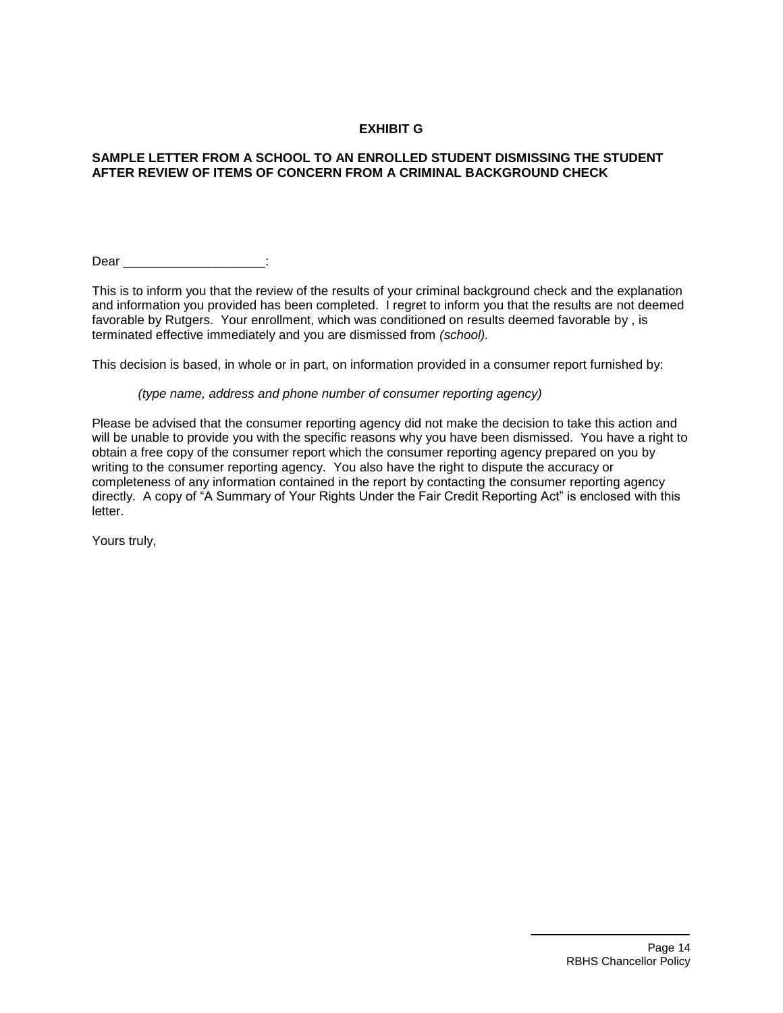## **EXHIBIT G**

## **SAMPLE LETTER FROM A SCHOOL TO AN ENROLLED STUDENT DISMISSING THE STUDENT AFTER REVIEW OF ITEMS OF CONCERN FROM A CRIMINAL BACKGROUND CHECK**

Dear in the contract of the contract of the contract of the contract of the contract of the contract of the contract of the contract of the contract of the contract of the contract of the contract of the contract of the co

This is to inform you that the review of the results of your criminal background check and the explanation and information you provided has been completed. I regret to inform you that the results are not deemed favorable by Rutgers. Your enrollment, which was conditioned on results deemed favorable by , is terminated effective immediately and you are dismissed from *(school).*

This decision is based, in whole or in part, on information provided in a consumer report furnished by:

### *(type name, address and phone number of consumer reporting agency)*

Please be advised that the consumer reporting agency did not make the decision to take this action and will be unable to provide you with the specific reasons why you have been dismissed. You have a right to obtain a free copy of the consumer report which the consumer reporting agency prepared on you by writing to the consumer reporting agency. You also have the right to dispute the accuracy or completeness of any information contained in the report by contacting the consumer reporting agency directly. A copy of "A Summary of Your Rights Under the Fair Credit Reporting Act" is enclosed with this letter.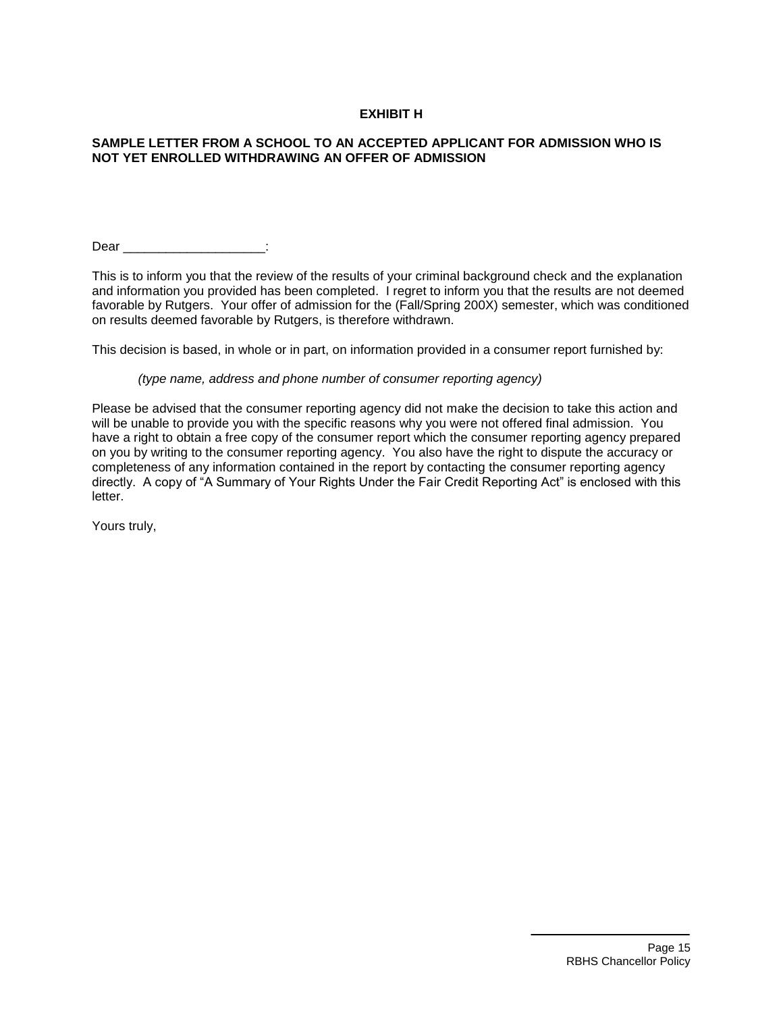# **EXHIBIT H**

### **SAMPLE LETTER FROM A SCHOOL TO AN ACCEPTED APPLICANT FOR ADMISSION WHO IS NOT YET ENROLLED WITHDRAWING AN OFFER OF ADMISSION**

Dear \_\_\_\_\_\_\_\_\_\_\_\_\_\_\_\_\_\_\_\_\_\_\_\_\_:

This is to inform you that the review of the results of your criminal background check and the explanation and information you provided has been completed. I regret to inform you that the results are not deemed favorable by Rutgers. Your offer of admission for the (Fall/Spring 200X) semester, which was conditioned on results deemed favorable by Rutgers, is therefore withdrawn.

This decision is based, in whole or in part, on information provided in a consumer report furnished by:

#### *(type name, address and phone number of consumer reporting agency)*

Please be advised that the consumer reporting agency did not make the decision to take this action and will be unable to provide you with the specific reasons why you were not offered final admission. You have a right to obtain a free copy of the consumer report which the consumer reporting agency prepared on you by writing to the consumer reporting agency. You also have the right to dispute the accuracy or completeness of any information contained in the report by contacting the consumer reporting agency directly. A copy of "A Summary of Your Rights Under the Fair Credit Reporting Act" is enclosed with this letter.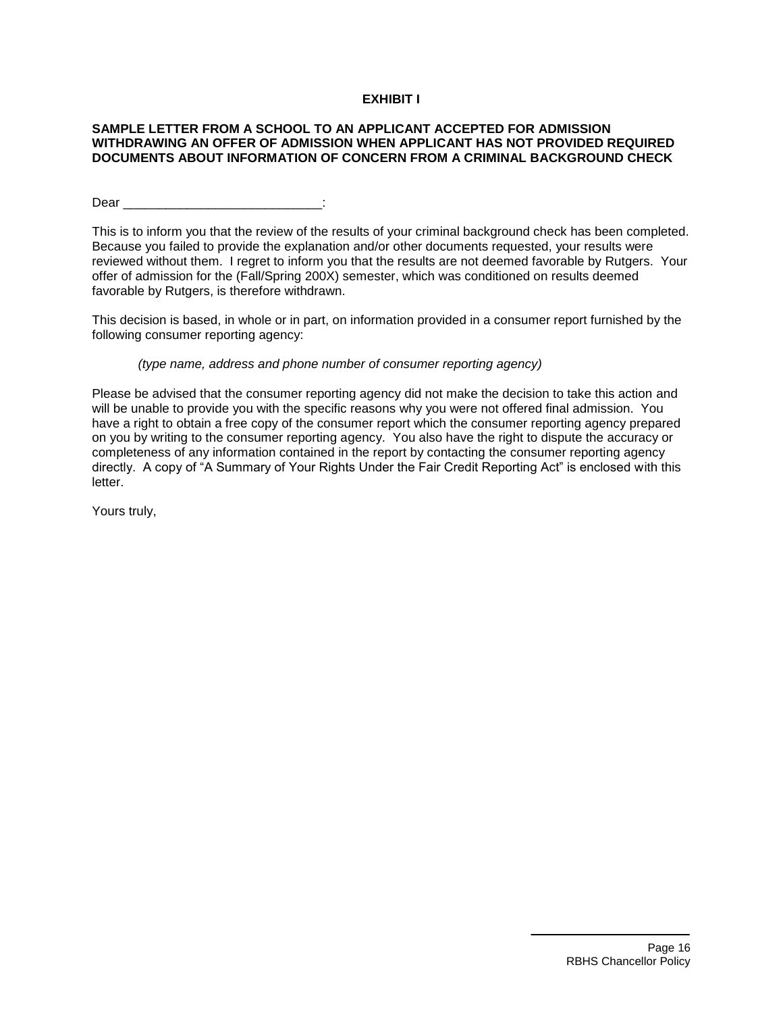# **EXHIBIT I**

#### **SAMPLE LETTER FROM A SCHOOL TO AN APPLICANT ACCEPTED FOR ADMISSION WITHDRAWING AN OFFER OF ADMISSION WHEN APPLICANT HAS NOT PROVIDED REQUIRED DOCUMENTS ABOUT INFORMATION OF CONCERN FROM A CRIMINAL BACKGROUND CHECK**

Dear \_\_\_\_\_\_\_\_\_\_\_\_\_\_\_\_\_\_\_\_\_\_\_\_\_\_\_\_:

This is to inform you that the review of the results of your criminal background check has been completed. Because you failed to provide the explanation and/or other documents requested, your results were reviewed without them. I regret to inform you that the results are not deemed favorable by Rutgers. Your offer of admission for the (Fall/Spring 200X) semester, which was conditioned on results deemed favorable by Rutgers, is therefore withdrawn.

This decision is based, in whole or in part, on information provided in a consumer report furnished by the following consumer reporting agency:

*(type name, address and phone number of consumer reporting agency)*

Please be advised that the consumer reporting agency did not make the decision to take this action and will be unable to provide you with the specific reasons why you were not offered final admission. You have a right to obtain a free copy of the consumer report which the consumer reporting agency prepared on you by writing to the consumer reporting agency. You also have the right to dispute the accuracy or completeness of any information contained in the report by contacting the consumer reporting agency directly. A copy of "A Summary of Your Rights Under the Fair Credit Reporting Act" is enclosed with this letter.